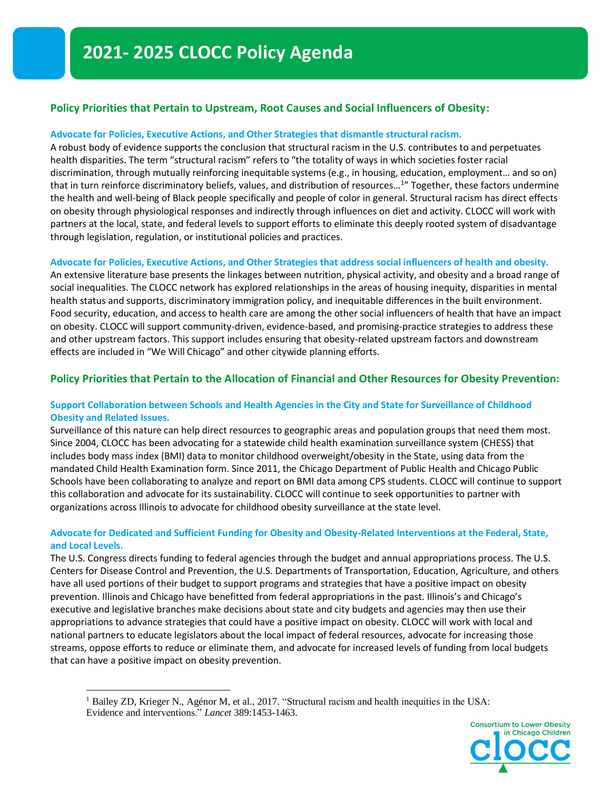# **Policy Priorities that Pertain to Upstream, Root Causes and Social Influencers of Obesity:**

## **Advocate for Policies, Executive Actions, and Other Strategies that dismantle structural racism.**

A robust body of evidence supports the conclusion that structural racism in the U.S. contributes to and perpetuates health disparities. The term "structural racism" refers to "the totality of ways in which societies foster racial discrimination, through mutually reinforcing inequitable systems (e.g., in housing, education, employment… and so on) that in turn reinforce discriminatory beliefs, values, and distribution of resources...<sup>1</sup>" Together, these factors undermine the health and well-being of Black people specifically and people of color in general. Structural racism has direct effects on obesity through physiological responses and indirectly through influences on diet and activity. CLOCC will work with partners at the local, state, and federal levels to support efforts to eliminate this deeply rooted system of disadvantage through legislation, regulation, or institutional policies and practices.

### **Advocate for Policies, Executive Actions, and Other Strategies that address social influencers of health and obesity.**

An extensive literature base presents the linkages between nutrition, physical activity, and obesity and a broad range of social inequalities. The CLOCC network has explored relationships in the areas of housing inequity, disparities in mental health status and supports, discriminatory immigration policy, and inequitable differences in the built environment. Food security, education, and access to health care are among the other social influencers of health that have an impact on obesity. CLOCC will support community-driven, evidence-based, and promising-practice strategies to address these and other upstream factors. This support includes ensuring that obesity-related upstream factors and downstream effects are included in "We Will Chicago" and other citywide planning efforts.

# **Policy Priorities that Pertain to the Allocation of Financial and Other Resources for Obesity Prevention:**

## **Support Collaboration between Schools and Health Agencies in the City and State for Surveillance of Childhood Obesity and Related Issues.**

Surveillance of this nature can help direct resources to geographic areas and population groups that need them most. Since 2004, CLOCC has been advocating for a statewide child health examination surveillance system (CHESS) that includes body mass index (BMI) data to monitor childhood overweight/obesity in the State, using data from the mandated Child Health Examination form. Since 2011, the Chicago Department of Public Health and Chicago Public Schools have been collaborating to analyze and report on BMI data among CPS students. CLOCC will continue to support this collaboration and advocate for its sustainability. CLOCC will continue to seek opportunities to partner with organizations across Illinois to advocate for childhood obesity surveillance at the state level.

# **Advocate for Dedicated and Sufficient Funding for Obesity and Obesity-Related Interventions at the Federal, State, and Local Levels.**

The U.S. Congress directs funding to federal agencies through the budget and annual appropriations process. The U.S. Centers for Disease Control and Prevention, the U.S. Departments of Transportation, Education, Agriculture, and others have all used portions of their budget to support programs and strategies that have a positive impact on obesity prevention. Illinois and Chicago have benefitted from federal appropriations in the past. Illinois's and Chicago's executive and legislative branches make decisions about state and city budgets and agencies may then use their appropriations to advance strategies that could have a positive impact on obesity. CLOCC will work with local and national partners to educate legislators about the local impact of federal resources, advocate for increasing those streams, oppose efforts to reduce or eliminate them, and advocate for increased levels of funding from local budgets that can have a positive impact on obesity prevention.

<sup>&</sup>lt;sup>1</sup> Bailey ZD, Krieger N., Agénor M, et al., 2017. "Structural racism and health inequities in the USA: Evidence and interventions." *Lancet* 389:1453-1463.

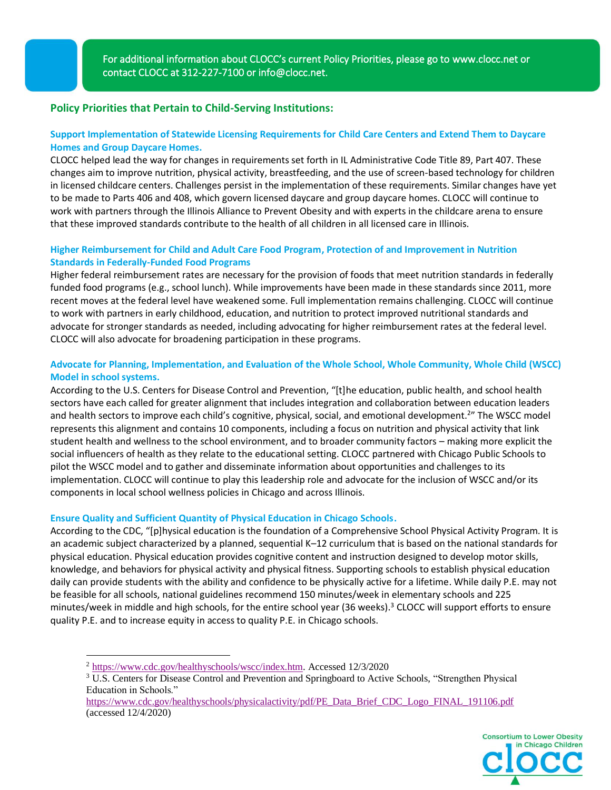ı

# **Policy Priorities that Pertain to Child-Serving Institutions:**

# **Support Implementation of Statewide Licensing Requirements for Child Care Centers and Extend Them to Daycare Homes and Group Daycare Homes.**

CLOCC helped lead the way for changes in requirements set forth in IL Administrative Code Title 89, Part 407. These changes aim to improve nutrition, physical activity, breastfeeding, and the use of screen-based technology for children in licensed childcare centers. Challenges persist in the implementation of these requirements. Similar changes have yet to be made to Parts 406 and 408, which govern licensed daycare and group daycare homes. CLOCC will continue to work with partners through the Illinois Alliance to Prevent Obesity and with experts in the childcare arena to ensure that these improved standards contribute to the health of all children in all licensed care in Illinois.

# **Higher Reimbursement for Child and Adult Care Food Program, Protection of and Improvement in Nutrition Standards in Federally-Funded Food Programs**

Higher federal reimbursement rates are necessary for the provision of foods that meet nutrition standards in federally funded food programs (e.g., school lunch). While improvements have been made in these standards since 2011, more recent moves at the federal level have weakened some. Full implementation remains challenging. CLOCC will continue to work with partners in early childhood, education, and nutrition to protect improved nutritional standards and advocate for stronger standards as needed, including advocating for higher reimbursement rates at the federal level. CLOCC will also advocate for broadening participation in these programs.

# **Advocate for Planning, Implementation, and Evaluation of the Whole School, Whole Community, Whole Child (WSCC) Model in school systems.**

According to the U.S. Centers for Disease Control and Prevention, "[t]he education, public health, and school health sectors have each called for greater alignment that includes integration and collaboration between education leaders and health sectors to improve each child's cognitive, physical, social, and emotional development.<sup>2</sup>" The WSCC model represents this alignment and contains 10 components, including a focus on nutrition and physical activity that link student health and wellness to the school environment, and to broader community factors – making more explicit the social influencers of health as they relate to the educational setting. CLOCC partnered with Chicago Public Schools to pilot the WSCC model and to gather and disseminate information about opportunities and challenges to its implementation. CLOCC will continue to play this leadership role and advocate for the inclusion of WSCC and/or its components in local school wellness policies in Chicago and across Illinois.

### **Ensure Quality and Sufficient Quantity of Physical Education in Chicago Schools.**

According to the CDC, "[p]hysical education is the foundation of a Comprehensive School Physical Activity Program. It is an academic subject characterized by a planned, sequential K–12 curriculum that is based on the national standards for physical education. Physical education provides cognitive content and instruction designed to develop motor skills, knowledge, and behaviors for physical activity and physical fitness. Supporting schools to establish physical education daily can provide students with the ability and confidence to be physically active for a lifetime. While daily P.E. may not be feasible for all schools, national guidelines recommend 150 minutes/week in elementary schools and 225 minutes/week in middle and high schools, for the entire school year (36 weeks). <sup>3</sup> CLOCC will support efforts to ensure quality P.E. and to increase equity in access to quality P.E. in Chicago schools.

[https://www.cdc.gov/healthyschools/physicalactivity/pdf/PE\\_Data\\_Brief\\_CDC\\_Logo\\_FINAL\\_191106.pdf](https://www.cdc.gov/healthyschools/physicalactivity/pdf/PE_Data_Brief_CDC_Logo_FINAL_191106.pdf) (accessed 12/4/2020)



<sup>2</sup> [https://www.cdc.gov/healthyschools/wscc/index.htm.](https://www.cdc.gov/healthyschools/wscc/index.htm) Accessed 12/3/2020

<sup>3</sup> U.S. Centers for Disease Control and Prevention and Springboard to Active Schools, "Strengthen Physical Education in Schools."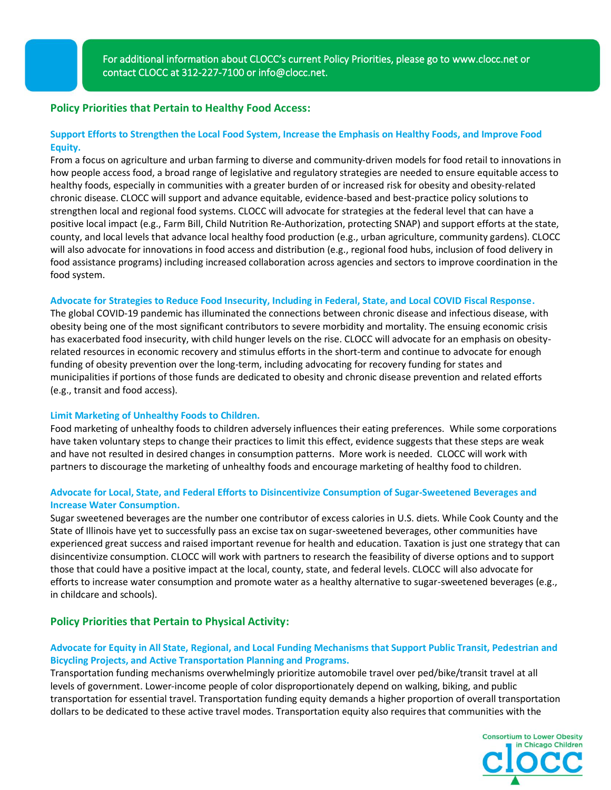ı

## **Policy Priorities that Pertain to Healthy Food Access:**

## **Support Efforts to Strengthen the Local Food System, Increase the Emphasis on Healthy Foods, and Improve Food Equity.**

From a focus on agriculture and urban farming to diverse and community-driven models for food retail to innovations in how people access food, a broad range of legislative and regulatory strategies are needed to ensure equitable access to healthy foods, especially in communities with a greater burden of or increased risk for obesity and obesity-related chronic disease. CLOCC will support and advance equitable, evidence-based and best-practice policy solutions to strengthen local and regional food systems. CLOCC will advocate for strategies at the federal level that can have a positive local impact (e.g., Farm Bill, Child Nutrition Re-Authorization, protecting SNAP) and support efforts at the state, county, and local levels that advance local healthy food production (e.g., urban agriculture, community gardens). CLOCC will also advocate for innovations in food access and distribution (e.g., regional food hubs, inclusion of food delivery in food assistance programs) including increased collaboration across agencies and sectors to improve coordination in the food system.

#### **Advocate for Strategies to Reduce Food Insecurity, Including in Federal, State, and Local COVID Fiscal Response.**

The global COVID-19 pandemic has illuminated the connections between chronic disease and infectious disease, with obesity being one of the most significant contributors to severe morbidity and mortality. The ensuing economic crisis has exacerbated food insecurity, with child hunger levels on the rise. CLOCC will advocate for an emphasis on obesityrelated resources in economic recovery and stimulus efforts in the short-term and continue to advocate for enough funding of obesity prevention over the long-term, including advocating for recovery funding for states and municipalities if portions of those funds are dedicated to obesity and chronic disease prevention and related efforts (e.g., transit and food access).

#### **Limit Marketing of Unhealthy Foods to Children.**

Food marketing of unhealthy foods to children adversely influences their eating preferences. While some corporations have taken voluntary steps to change their practices to limit this effect, evidence suggests that these steps are weak and have not resulted in desired changes in consumption patterns. More work is needed. CLOCC will work with partners to discourage the marketing of unhealthy foods and encourage marketing of healthy food to children.

## **Advocate for Local, State, and Federal Efforts to Disincentivize Consumption of Sugar-Sweetened Beverages and Increase Water Consumption.**

Sugar sweetened beverages are the number one contributor of excess calories in U.S. diets. While Cook County and the State of Illinois have yet to successfully pass an excise tax on sugar-sweetened beverages, other communities have experienced great success and raised important revenue for health and education. Taxation is just one strategy that can disincentivize consumption. CLOCC will work with partners to research the feasibility of diverse options and to support those that could have a positive impact at the local, county, state, and federal levels. CLOCC will also advocate for efforts to increase water consumption and promote water as a healthy alternative to sugar-sweetened beverages (e.g., in childcare and schools).

## **Policy Priorities that Pertain to Physical Activity:**

## **Advocate for Equity in All State, Regional, and Local Funding Mechanisms that Support Public Transit, Pedestrian and Bicycling Projects, and Active Transportation Planning and Programs.**

Transportation funding mechanisms overwhelmingly prioritize automobile travel over ped/bike/transit travel at all levels of government. Lower-income people of color disproportionately depend on walking, biking, and public transportation for essential travel. Transportation funding equity demands a higher proportion of overall transportation dollars to be dedicated to these active travel modes. Transportation equity also requires that communities with the

> **Consortium to Lower Obesity** in Chicago Children